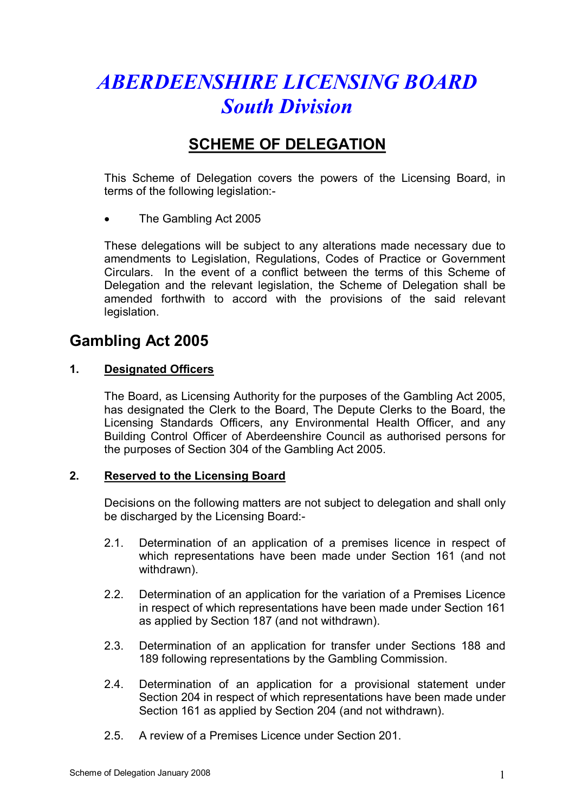# *ABERDEENSHIRE LICENSING BOARD South Division*

## **SCHEME OF DELEGATION**

This Scheme of Delegation covers the powers of the Licensing Board, in terms of the following legislation:

· The Gambling Act 2005

These delegations will be subject to any alterations made necessary due to amendments to Legislation, Regulations, Codes of Practice or Government Circulars. In the event of a conflict between the terms of this Scheme of Delegation and the relevant legislation, the Scheme of Delegation shall be amended forthwith to accord with the provisions of the said relevant legislation.

### **Gambling Act 2005**

#### **1. Designated Officers**

The Board, as Licensing Authority for the purposes of the Gambling Act 2005, has designated the Clerk to the Board, The Depute Clerks to the Board, the Licensing Standards Officers, any Environmental Health Officer, and any Building Control Officer of Aberdeenshire Council as authorised persons for the purposes of Section 304 of the Gambling Act 2005.

#### **2. Reserved to the Licensing Board**

Decisions on the following matters are not subject to delegation and shall only be discharged by the Licensing Board:

- 2.1. Determination of an application of a premises licence in respect of which representations have been made under Section 161 (and not withdrawn).
- 2.2. Determination of an application for the variation of a Premises Licence in respect of which representations have been made under Section 161 as applied by Section 187 (and not withdrawn).
- 2.3. Determination of an application for transfer under Sections 188 and 189 following representations by the Gambling Commission.
- 2.4. Determination of an application for a provisional statement under Section 204 in respect of which representations have been made under Section 161 as applied by Section 204 (and not withdrawn).
- 2.5. A review of a Premises Licence under Section 201.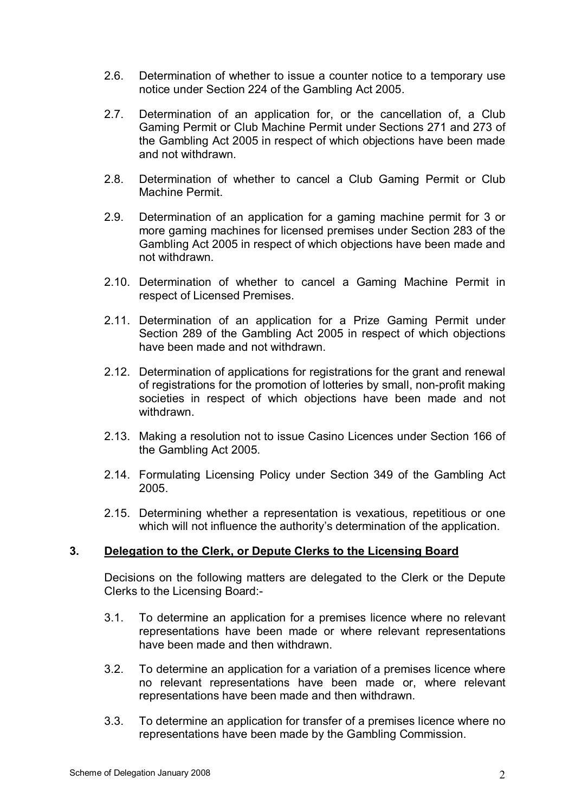- 2.6. Determination of whether to issue a counter notice to a temporary use notice under Section 224 of the Gambling Act 2005.
- 2.7. Determination of an application for, or the cancellation of, a Club Gaming Permit or Club Machine Permit under Sections 271 and 273 of the Gambling Act 2005 in respect of which objections have been made and not withdrawn.
- 2.8. Determination of whether to cancel a Club Gaming Permit or Club Machine Permit.
- 2.9. Determination of an application for a gaming machine permit for 3 or more gaming machines for licensed premises under Section 283 of the Gambling Act 2005 in respect of which objections have been made and not withdrawn.
- 2.10. Determination of whether to cancel a Gaming Machine Permit in respect of Licensed Premises.
- 2.11. Determination of an application for a Prize Gaming Permit under Section 289 of the Gambling Act 2005 in respect of which objections have been made and not withdrawn.
- 2.12. Determination of applications for registrations for the grant and renewal of registrations for the promotion of lotteries by small, non-profit making societies in respect of which objections have been made and not withdrawn.
- 2.13. Making a resolution not to issue Casino Licences under Section 166 of the Gambling Act 2005.
- 2.14. Formulating Licensing Policy under Section 349 of the Gambling Act 2005.
- 2.15. Determining whether a representation is vexatious, repetitious or one which will not influence the authority's determination of the application.

#### **3. Delegation to the Clerk, or Depute Clerks to the Licensing Board**

Decisions on the following matters are delegated to the Clerk or the Depute Clerks to the Licensing Board:

- 3.1. To determine an application for a premises licence where no relevant representations have been made or where relevant representations have been made and then withdrawn.
- 3.2. To determine an application for a variation of a premises licence where no relevant representations have been made or, where relevant representations have been made and then withdrawn.
- 3.3. To determine an application for transfer of a premises licence where no representations have been made by the Gambling Commission.